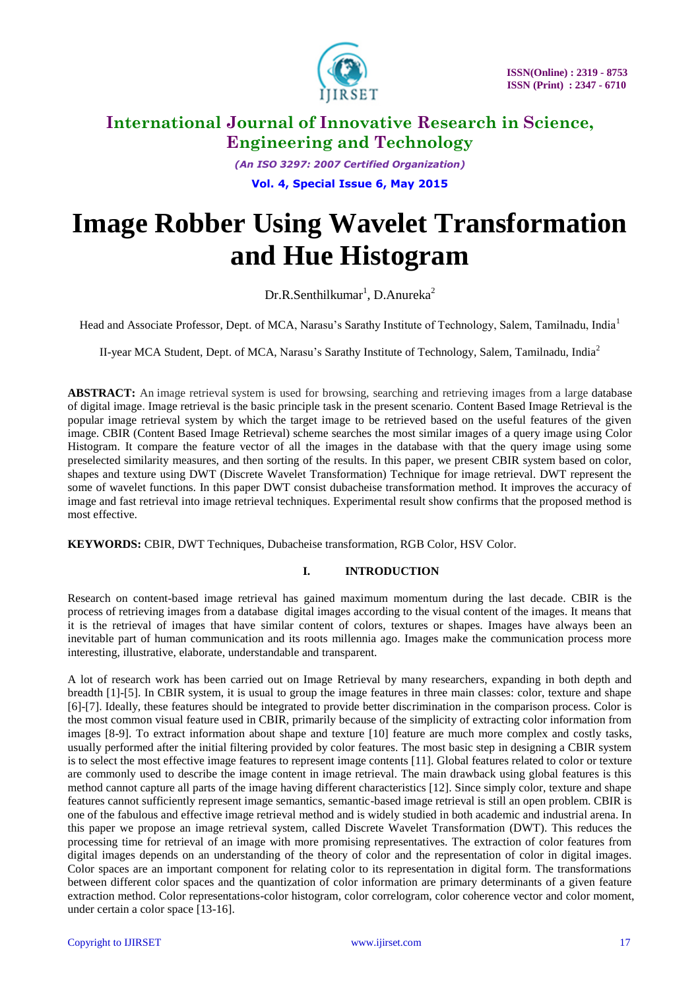

*(An ISO 3297: 2007 Certified Organization)* **Vol. 4, Special Issue 6, May 2015**

# **Image Robber Using Wavelet Transformation and Hue Histogram**

 $Dr.R.Senthilkumar<sup>1</sup>, D.Anureka<sup>2</sup>$ 

Head and Associate Professor, Dept. of MCA, Narasu's Sarathy Institute of Technology, Salem, Tamilnadu, India<sup>1</sup>

II-year MCA Student, Dept. of MCA, Narasu's Sarathy Institute of Technology, Salem, Tamilnadu, India<sup>2</sup>

**ABSTRACT:** An image retrieval system is used for browsing, searching and retrieving images from a large database of digital image. Image retrieval is the basic principle task in the present scenario. Content Based Image Retrieval is the popular image retrieval system by which the target image to be retrieved based on the useful features of the given image. CBIR (Content Based Image Retrieval) scheme searches the most similar images of a query image using Color Histogram. It compare the feature vector of all the images in the database with that the query image using some preselected similarity measures, and then sorting of the results. In this paper, we present CBIR system based on color, shapes and texture using DWT (Discrete Wavelet Transformation) Technique for image retrieval. DWT represent the some of wavelet functions. In this paper DWT consist dubacheise transformation method. It improves the accuracy of image and fast retrieval into image retrieval techniques. Experimental result show confirms that the proposed method is most effective.

**KEYWORDS:** CBIR, DWT Techniques, Dubacheise transformation, RGB Color, HSV Color.

### **I. INTRODUCTION**

Research on content-based image retrieval has gained maximum momentum during the last decade. CBIR is the process of retrieving images from a database digital images according to the visual content of the images. It means that it is the retrieval of images that have similar content of colors, textures or shapes. Images have always been an inevitable part of human communication and its roots millennia ago. Images make the communication process more interesting, illustrative, elaborate, understandable and transparent.

A lot of research work has been carried out on Image Retrieval by many researchers, expanding in both depth and breadth [1]-[5]. In CBIR system, it is usual to group the image features in three main classes: color, texture and shape [6]-[7]. Ideally, these features should be integrated to provide better discrimination in the comparison process. Color is the most common visual feature used in CBIR, primarily because of the simplicity of extracting color information from images [8-9]. To extract information about shape and texture [10] feature are much more complex and costly tasks, usually performed after the initial filtering provided by color features. The most basic step in designing a CBIR system is to select the most effective image features to represent image contents [11]. Global features related to color or texture are commonly used to describe the image content in image retrieval. The main drawback using global features is this method cannot capture all parts of the image having different characteristics [12]. Since simply color, texture and shape features cannot sufficiently represent image semantics, semantic-based image retrieval is still an open problem. CBIR is one of the fabulous and effective image retrieval method and is widely studied in both academic and industrial arena. In this paper we propose an image retrieval system, called Discrete Wavelet Transformation (DWT). This reduces the processing time for retrieval of an image with more promising representatives. The extraction of color features from digital images depends on an understanding of the theory of color and the representation of color in digital images. Color spaces are an important component for relating color to its representation in digital form. The transformations between different color spaces and the quantization of color information are primary determinants of a given feature extraction method. Color representations-color histogram, color correlogram, color coherence vector and color moment, under certain a color space [13-16].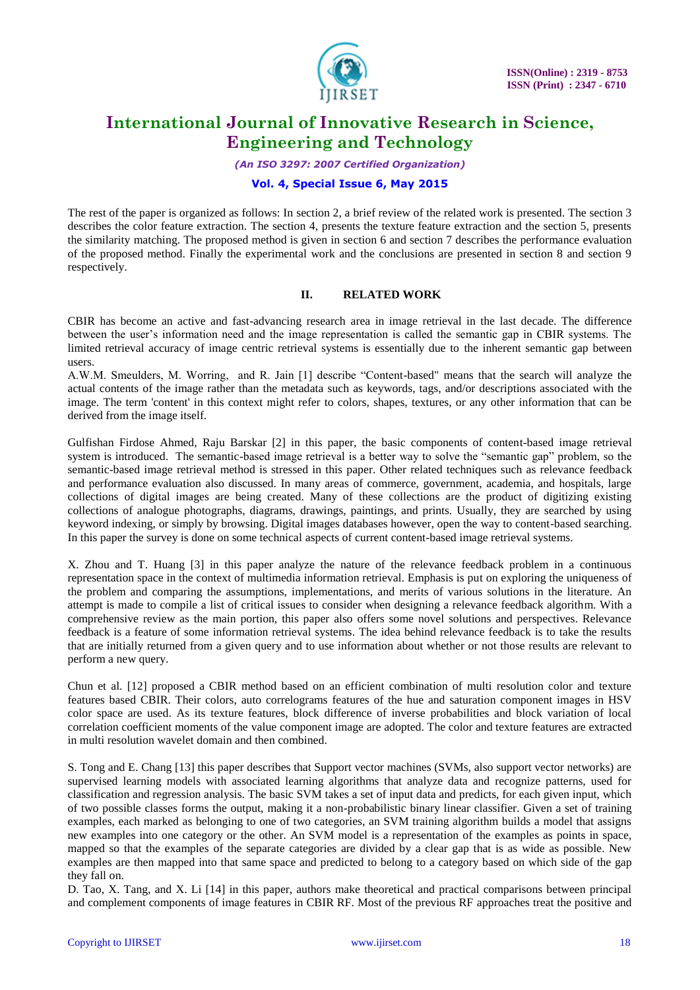

*(An ISO 3297: 2007 Certified Organization)*

# **Vol. 4, Special Issue 6, May 2015**

The rest of the paper is organized as follows: In section 2, a brief review of the related work is presented. The section 3 describes the color feature extraction. The section 4, presents the texture feature extraction and the section 5, presents the similarity matching. The proposed method is given in section 6 and section 7 describes the performance evaluation of the proposed method. Finally the experimental work and the conclusions are presented in section 8 and section 9 respectively.

### **II. RELATED WORK**

CBIR has become an active and fast-advancing research area in image retrieval in the last decade. The difference between the user's information need and the image representation is called the semantic gap in CBIR systems. The limited retrieval accuracy of image centric retrieval systems is essentially due to the inherent semantic gap between users.

A.W.M. Smeulders, M. Worring, and R. Jain [1] describe "Content-based" means that the search will analyze the actual contents of the image rather than the metadata such as keywords, tags, and/or descriptions associated with the image. The term 'content' in this context might refer to colors, shapes, textures, or any other information that can be derived from the image itself.

Gulfishan Firdose Ahmed, Raju Barskar [2] in this paper, the basic components of content-based image retrieval system is introduced. The semantic-based image retrieval is a better way to solve the "semantic gap" problem, so the semantic-based image retrieval method is stressed in this paper. Other related techniques such as relevance feedback and performance evaluation also discussed. In many areas of commerce, government, academia, and hospitals, large collections of digital images are being created. Many of these collections are the product of digitizing existing collections of analogue photographs, diagrams, drawings, paintings, and prints. Usually, they are searched by using keyword indexing, or simply by browsing. Digital images databases however, open the way to content-based searching. In this paper the survey is done on some technical aspects of current content-based image retrieval systems.

X. Zhou and T. Huang [3] in this paper analyze the nature of the relevance feedback problem in a continuous representation space in the context of multimedia information retrieval. Emphasis is put on exploring the uniqueness of the problem and comparing the assumptions, implementations, and merits of various solutions in the literature. An attempt is made to compile a list of critical issues to consider when designing a relevance feedback algorithm. With a comprehensive review as the main portion, this paper also offers some novel solutions and perspectives. Relevance feedback is a feature of some information retrieval systems. The idea behind relevance feedback is to take the results that are initially returned from a given query and to use information about whether or not those results are relevant to perform a new query.

Chun et al. [12] proposed a CBIR method based on an efficient combination of multi resolution color and texture features based CBIR. Their colors, auto correlograms features of the hue and saturation component images in HSV color space are used. As its texture features, block difference of inverse probabilities and block variation of local correlation coefficient moments of the value component image are adopted. The color and texture features are extracted in multi resolution wavelet domain and then combined.

S. Tong and E. Chang [13] this paper describes that Support vector machines (SVMs, also support vector networks) are supervised learning models with associated learning algorithms that analyze data and recognize patterns, used for classification and regression analysis. The basic SVM takes a set of input data and predicts, for each given input, which of two possible classes forms the output, making it a non-probabilistic binary linear classifier. Given a set of training examples, each marked as belonging to one of two categories, an SVM training algorithm builds a model that assigns new examples into one category or the other. An SVM model is a representation of the examples as points in space, mapped so that the examples of the separate categories are divided by a clear gap that is as wide as possible. New examples are then mapped into that same space and predicted to belong to a category based on which side of the gap they fall on.

D. Tao, X. Tang, and X. Li [14] in this paper, authors make theoretical and practical comparisons between principal and complement components of image features in CBIR RF. Most of the previous RF approaches treat the positive and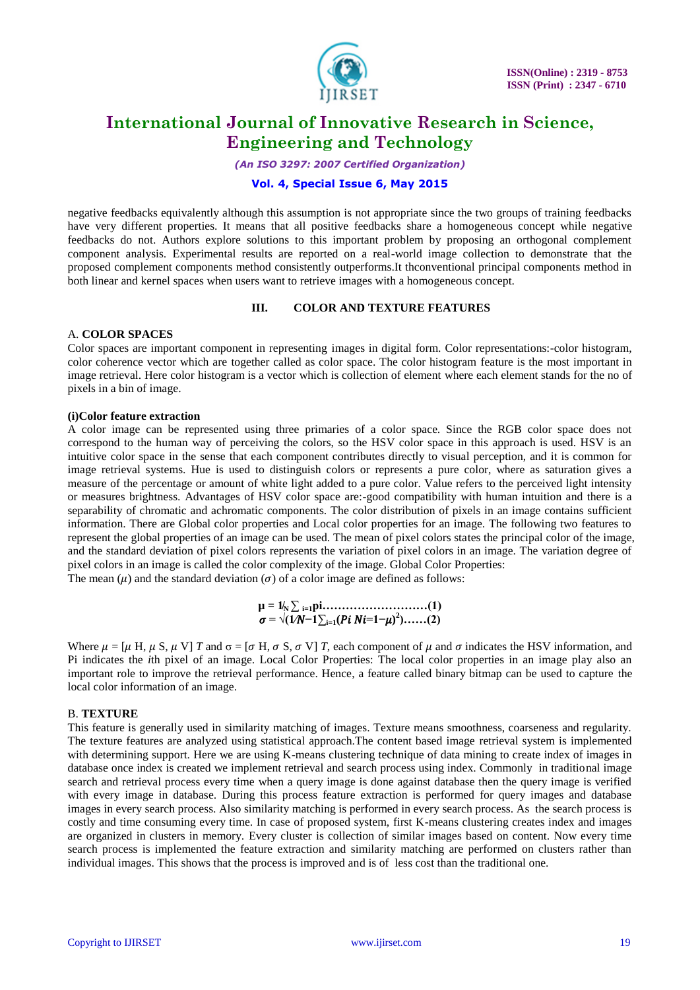

*(An ISO 3297: 2007 Certified Organization)*

# **Vol. 4, Special Issue 6, May 2015**

negative feedbacks equivalently although this assumption is not appropriate since the two groups of training feedbacks have very different properties. It means that all positive feedbacks share a homogeneous concept while negative feedbacks do not. Authors explore solutions to this important problem by proposing an orthogonal complement component analysis. Experimental results are reported on a real-world image collection to demonstrate that the proposed complement components method consistently outperforms.It thconventional principal components method in both linear and kernel spaces when users want to retrieve images with a homogeneous concept.

### **III. COLOR AND TEXTURE FEATURES**

### A. **COLOR SPACES**

Color spaces are important component in representing images in digital form. Color representations:-color histogram, color coherence vector which are together called as color space. The color histogram feature is the most important in image retrieval. Here color histogram is a vector which is collection of element where each element stands for the no of pixels in a bin of image.

### **(i)Color feature extraction**

A color image can be represented using three primaries of a color space. Since the RGB color space does not correspond to the human way of perceiving the colors, so the HSV color space in this approach is used. HSV is an intuitive color space in the sense that each component contributes directly to visual perception, and it is common for image retrieval systems. Hue is used to distinguish colors or represents a pure color, where as saturation gives a measure of the percentage or amount of white light added to a pure color. Value refers to the perceived light intensity or measures brightness. Advantages of HSV color space are:-good compatibility with human intuition and there is a separability of chromatic and achromatic components. The color distribution of pixels in an image contains sufficient information. There are Global color properties and Local color properties for an image. The following two features to represent the global properties of an image can be used. The mean of pixel colors states the principal color of the image, and the standard deviation of pixel colors represents the variation of pixel colors in an image. The variation degree of pixel colors in an image is called the color complexity of the image. Global Color Properties:

The mean  $(\mu)$  and the standard deviation  $(\sigma)$  of a color image are defined as follows:

**µ = 1̸N ∑ i=1pi………………………(1) = √(1∕−1∑i=1( =1−) 2 )……(2)**

Where  $\mu = [\mu H, \mu S, \mu V]$  *T* and  $\sigma = [\sigma H, \sigma S, \sigma V]$  *T*, each component of  $\mu$  and  $\sigma$  indicates the HSV information, and Pi indicates the *i*th pixel of an image. Local Color Properties: The local color properties in an image play also an important role to improve the retrieval performance. Hence, a feature called binary bitmap can be used to capture the local color information of an image.

#### B. **TEXTURE**

This feature is generally used in similarity matching of images. Texture means smoothness, coarseness and regularity. The texture features are analyzed using statistical approach.The content based image retrieval system is implemented with determining support. Here we are using K-means clustering technique of data mining to create index of images in database once index is created we implement retrieval and search process using index. Commonly in traditional image search and retrieval process every time when a query image is done against database then the query image is verified with every image in database. During this process feature extraction is performed for query images and database images in every search process. Also similarity matching is performed in every search process. As the search process is costly and time consuming every time. In case of proposed system, first K-means clustering creates index and images are organized in clusters in memory. Every cluster is collection of similar images based on content. Now every time search process is implemented the feature extraction and similarity matching are performed on clusters rather than individual images. This shows that the process is improved and is of less cost than the traditional one.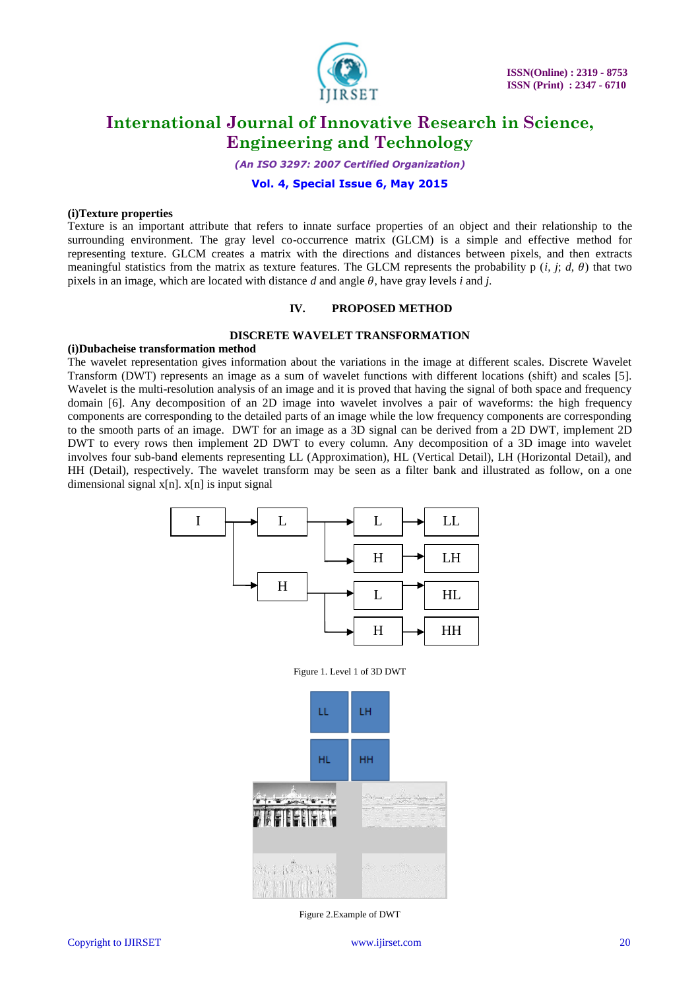

*(An ISO 3297: 2007 Certified Organization)*

### **Vol. 4, Special Issue 6, May 2015**

#### **(i)Texture properties**

Texture is an important attribute that refers to innate surface properties of an object and their relationship to the surrounding environment. The gray level co-occurrence matrix (GLCM) is a simple and effective method for representing texture. GLCM creates a matrix with the directions and distances between pixels, and then extracts meaningful statistics from the matrix as texture features. The GLCM represents the probability p  $(i, j; d, \theta)$  that two pixels in an image, which are located with distance  $d$  and angle  $\theta$ , have gray levels *i* and *j*.

### **IV. PROPOSED METHOD**

#### **DISCRETE WAVELET TRANSFORMATION**

#### **(i)Dubacheise transformation method**

The wavelet representation gives information about the variations in the image at different scales. Discrete Wavelet Transform (DWT) represents an image as a sum of wavelet functions with different locations (shift) and scales [5]. Wavelet is the multi-resolution analysis of an image and it is proved that having the signal of both space and frequency domain [6]. Any decomposition of an 2D image into wavelet involves a pair of waveforms: the high frequency components are corresponding to the detailed parts of an image while the low frequency components are corresponding to the smooth parts of an image. DWT for an image as a 3D signal can be derived from a 2D DWT, implement 2D DWT to every rows then implement 2D DWT to every column. Any decomposition of a 3D image into wavelet involves four sub-band elements representing LL (Approximation), HL (Vertical Detail), LH (Horizontal Detail), and HH (Detail), respectively. The wavelet transform may be seen as a filter bank and illustrated as follow, on a one dimensional signal  $x[n]$ .  $x[n]$  is input signal



Figure 1. Level 1 of 3D DWT



Figure 2.Example of DWT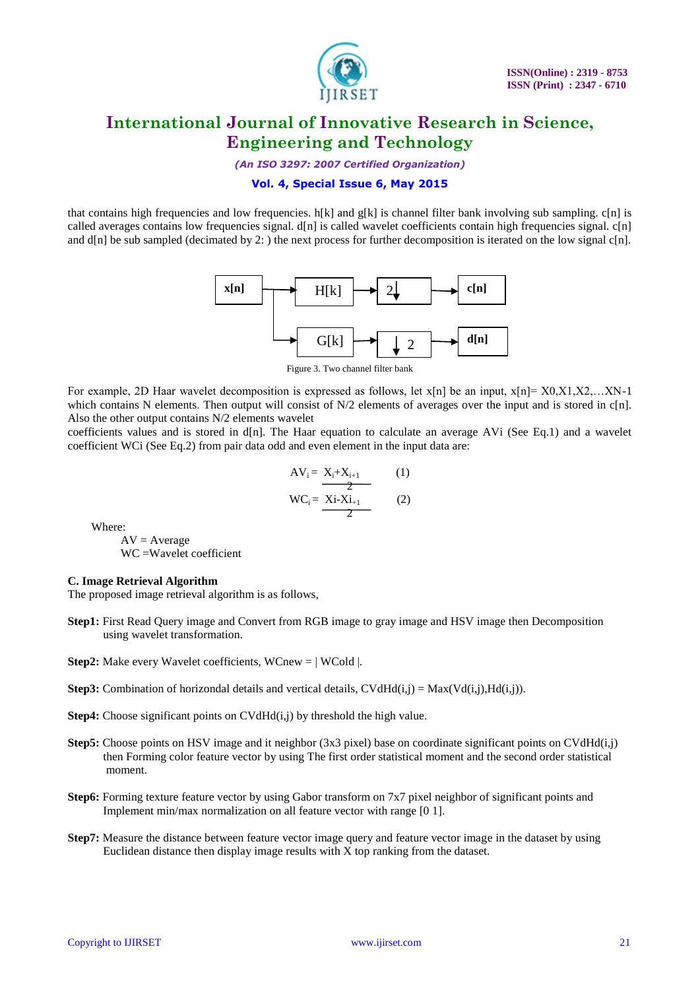

*(An ISO 3297: 2007 Certified Organization)*

# **Vol. 4, Special Issue 6, May 2015**

that contains high frequencies and low frequencies. h[k] and g[k] is channel filter bank involving sub sampling. c[n] is called averages contains low frequencies signal. d[n] is called wavelet coefficients contain high frequencies signal. c[n] and  $d[n]$  be sub sampled (decimated by 2: ) the next process for further decomposition is iterated on the low signal  $c[n]$ .



Figure 3. Two channel filter bank

For example, 2D Haar wavelet decomposition is expressed as follows, let  $x[n]$  be an input,  $x[n] = X0, X1, X2, \ldots XN-1$ which contains N elements. Then output will consist of  $N/2$  elements of averages over the input and is stored in  $c[n]$ . Also the other output contains N/2 elements wavelet

coefficients values and is stored in d[n]. The Haar equation to calculate an average AVi (See Eq.1) and a wavelet coefficient WCi (See Eq.2) from pair data odd and even element in the input data are:

$$
AV_{i} = \frac{X_{i} + X_{i+1}}{2}
$$
 (1)  
\n
$$
WC_{i} = \frac{Xi - Xi_{+1}}{2}
$$
 (2)

Where:

 $AV = Average$ WC =Wavelet coefficient

#### **C. Image Retrieval Algorithm**

The proposed image retrieval algorithm is as follows,

- **Step1:** First Read Query image and Convert from RGB image to gray image and HSV image then Decomposition using wavelet transformation.
- **Step2:** Make every Wavelet coefficients, WCnew = | WCold |.
- **Step3:** Combination of horizondal details and vertical details,  $CVdHd(i,j) = Max(Vd(i,j),Hd(i,j))$ .
- **Step4:** Choose significant points on CVdHd(i,j) by threshold the high value.
- **Step5:** Choose points on HSV image and it neighbor (3x3 pixel) base on coordinate significant points on CVdHd(i,j) then Forming color feature vector by using The first order statistical moment and the second order statistical moment.
- **Step6:** Forming texture feature vector by using Gabor transform on 7x7 pixel neighbor of significant points and Implement min/max normalization on all feature vector with range [0 1].
- **Step7:** Measure the distance between feature vector image query and feature vector image in the dataset by using Euclidean distance then display image results with X top ranking from the dataset.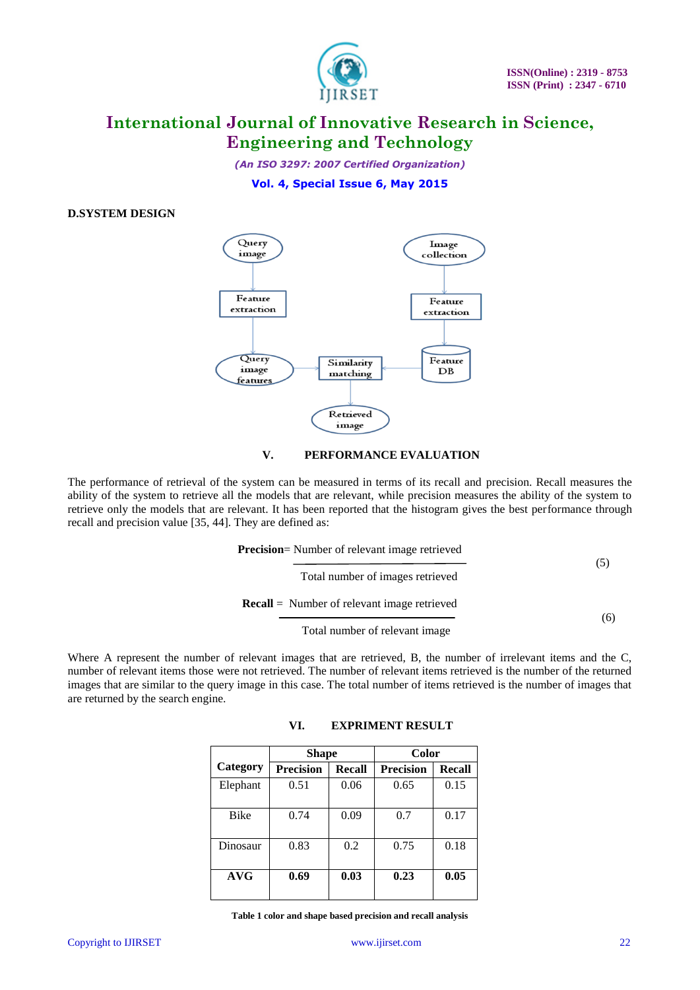

*(An ISO 3297: 2007 Certified Organization)* **Vol. 4, Special Issue 6, May 2015**

### **D.SYSTEM DESIGN**



#### **V. PERFORMANCE EVALUATION**

The performance of retrieval of the system can be measured in terms of its recall and precision. Recall measures the ability of the system to retrieve all the models that are relevant, while precision measures the ability of the system to retrieve only the models that are relevant. It has been reported that the histogram gives the best performance through recall and precision value [35, 44]. They are defined as:

|     | <b>Precision</b> = Number of relevant image retrieved  |  |  |  |
|-----|--------------------------------------------------------|--|--|--|
| (5  | Total number of images retrieved                       |  |  |  |
|     | $\textbf{Recall} =$ Number of relevant image retrieved |  |  |  |
| (6) | Total number of relevant image                         |  |  |  |

Where A represent the number of relevant images that are retrieved, B, the number of irrelevant items and the C, number of relevant items those were not retrieved. The number of relevant items retrieved is the number of the returned images that are similar to the query image in this case. The total number of items retrieved is the number of images that are returned by the search engine.

|             | <b>Shape</b>     |        | <b>Color</b>     |               |
|-------------|------------------|--------|------------------|---------------|
| Category    | <b>Precision</b> | Recall | <b>Precision</b> | <b>Recall</b> |
| Elephant    | 0.51             | 0.06   | 0.65             | 0.15          |
| <b>Bike</b> | 0.74             | 0.09   | 0.7              | 0.17          |
| Dinosaur    | 0.83             | 0.2    | 0.75             | 0.18          |
| AVG         | 0.69             | 0.03   | 0.23             | 0.05          |

# **VI. EXPRIMENT RESULT**

**Table 1 color and shape based precision and recall analysis**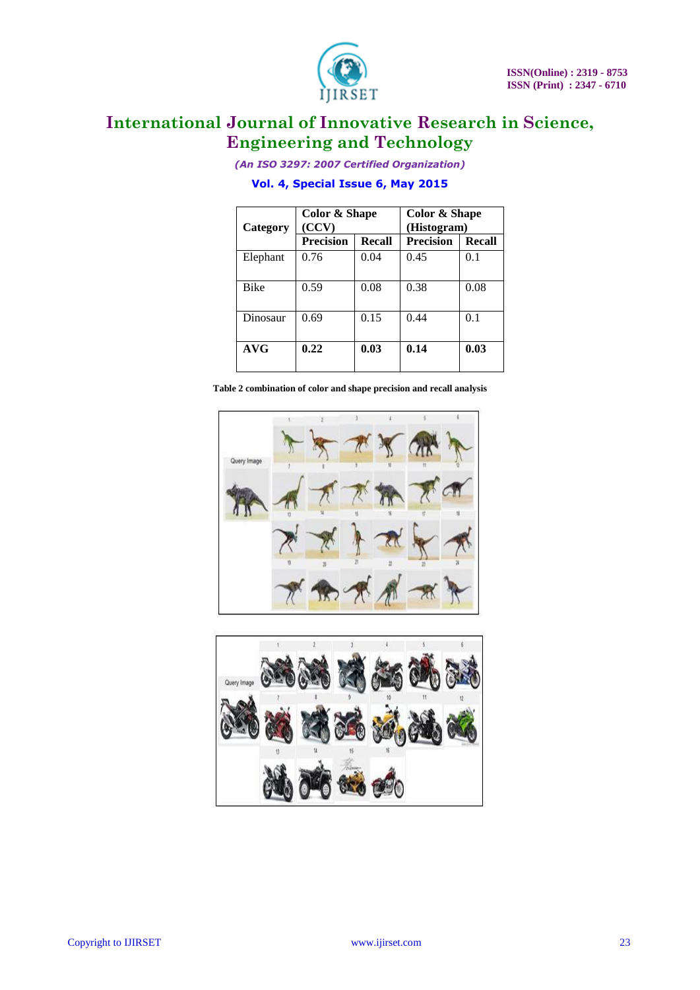

*(An ISO 3297: 2007 Certified Organization)* **Vol. 4, Special Issue 6, May 2015**

| Category    | Color & Shape<br>(CCV) |        | Color & Shape<br>(Histogram) |        |
|-------------|------------------------|--------|------------------------------|--------|
|             | Precision              | Recall | <b>Precision</b>             | Recall |
| Elephant    | 0.76                   | 0.04   | 0.45                         | 0.1    |
| <b>Bike</b> | 0.59                   | 0.08   | 0.38                         | 0.08   |
| Dinosaur    | 0.69                   | 0.15   | 0.44                         | 0.1    |
| AVG         | 0.22                   | 0.03   | 0.14                         | 0.03   |

**Table 2 combination of color and shape precision and recall analysis**